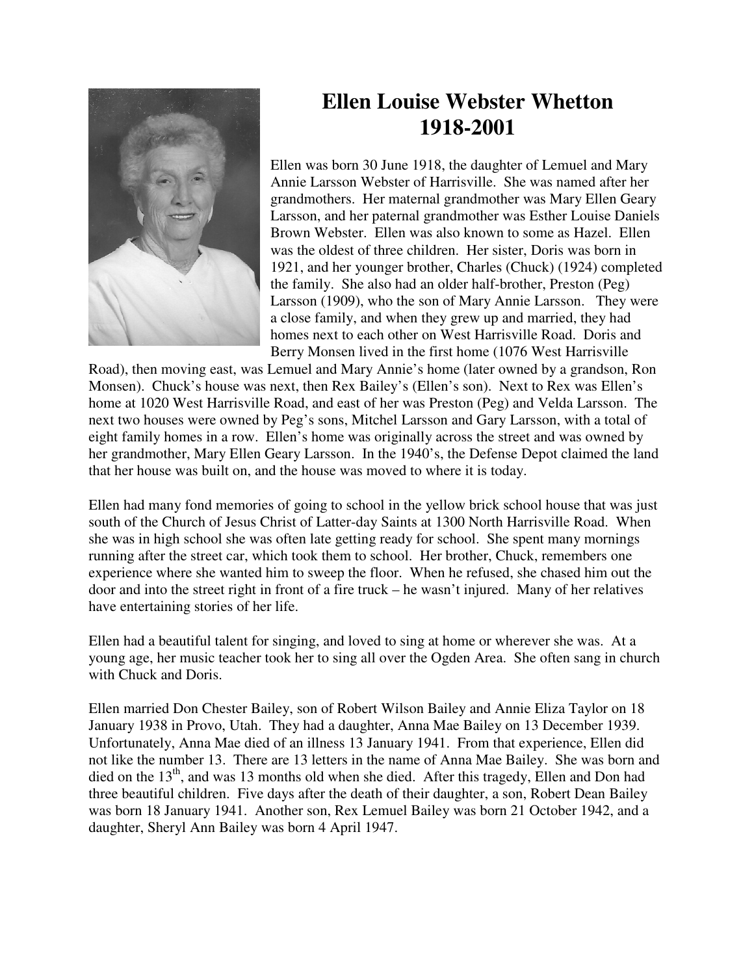

## **Ellen Louise Webster Whetton 1918-2001**

Ellen was born 30 June 1918, the daughter of Lemuel and Mary Annie Larsson Webster of Harrisville. She was named after her grandmothers. Her maternal grandmother was Mary Ellen Geary Larsson, and her paternal grandmother was Esther Louise Daniels Brown Webster. Ellen was also known to some as Hazel. Ellen was the oldest of three children. Her sister, Doris was born in 1921, and her younger brother, Charles (Chuck) (1924) completed the family. She also had an older half-brother, Preston (Peg) Larsson (1909), who the son of Mary Annie Larsson. They were a close family, and when they grew up and married, they had homes next to each other on West Harrisville Road. Doris and Berry Monsen lived in the first home (1076 West Harrisville

Road), then moving east, was Lemuel and Mary Annie's home (later owned by a grandson, Ron Monsen). Chuck's house was next, then Rex Bailey's (Ellen's son). Next to Rex was Ellen's home at 1020 West Harrisville Road, and east of her was Preston (Peg) and Velda Larsson. The next two houses were owned by Peg's sons, Mitchel Larsson and Gary Larsson, with a total of eight family homes in a row. Ellen's home was originally across the street and was owned by her grandmother, Mary Ellen Geary Larsson. In the 1940's, the Defense Depot claimed the land that her house was built on, and the house was moved to where it is today.

Ellen had many fond memories of going to school in the yellow brick school house that was just south of the Church of Jesus Christ of Latter-day Saints at 1300 North Harrisville Road. When she was in high school she was often late getting ready for school. She spent many mornings running after the street car, which took them to school. Her brother, Chuck, remembers one experience where she wanted him to sweep the floor. When he refused, she chased him out the door and into the street right in front of a fire truck – he wasn't injured. Many of her relatives have entertaining stories of her life.

Ellen had a beautiful talent for singing, and loved to sing at home or wherever she was. At a young age, her music teacher took her to sing all over the Ogden Area. She often sang in church with Chuck and Doris.

Ellen married Don Chester Bailey, son of Robert Wilson Bailey and Annie Eliza Taylor on 18 January 1938 in Provo, Utah. They had a daughter, Anna Mae Bailey on 13 December 1939. Unfortunately, Anna Mae died of an illness 13 January 1941. From that experience, Ellen did not like the number 13. There are 13 letters in the name of Anna Mae Bailey. She was born and died on the  $13<sup>th</sup>$ , and was 13 months old when she died. After this tragedy, Ellen and Don had three beautiful children. Five days after the death of their daughter, a son, Robert Dean Bailey was born 18 January 1941. Another son, Rex Lemuel Bailey was born 21 October 1942, and a daughter, Sheryl Ann Bailey was born 4 April 1947.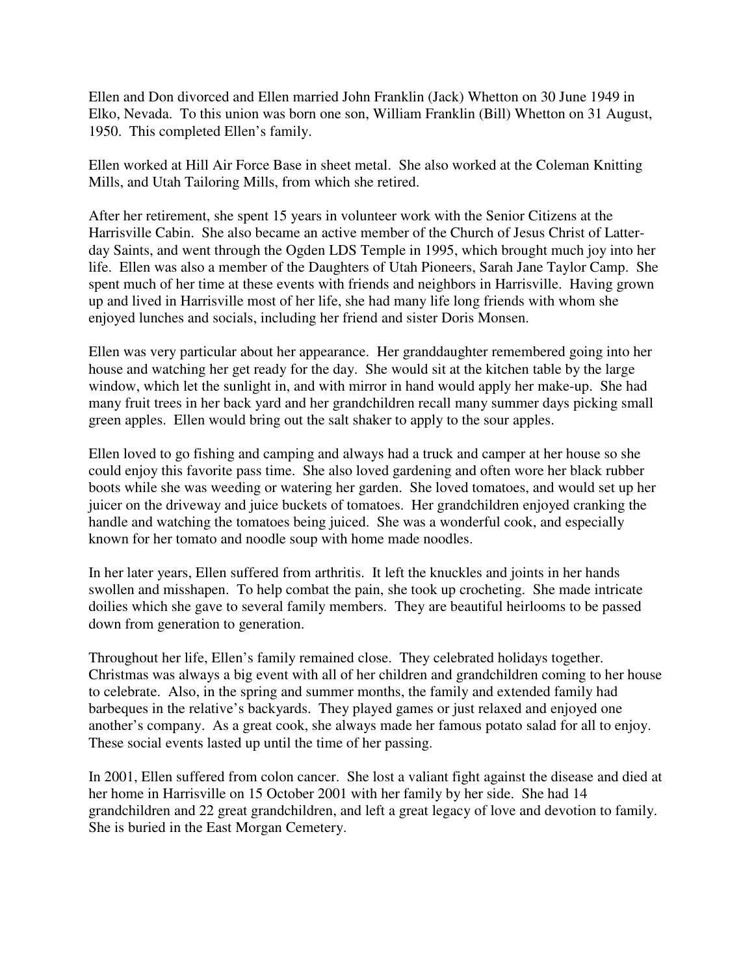Ellen and Don divorced and Ellen married John Franklin (Jack) Whetton on 30 June 1949 in Elko, Nevada. To this union was born one son, William Franklin (Bill) Whetton on 31 August, 1950. This completed Ellen's family.

Ellen worked at Hill Air Force Base in sheet metal. She also worked at the Coleman Knitting Mills, and Utah Tailoring Mills, from which she retired.

After her retirement, she spent 15 years in volunteer work with the Senior Citizens at the Harrisville Cabin. She also became an active member of the Church of Jesus Christ of Latterday Saints, and went through the Ogden LDS Temple in 1995, which brought much joy into her life. Ellen was also a member of the Daughters of Utah Pioneers, Sarah Jane Taylor Camp. She spent much of her time at these events with friends and neighbors in Harrisville. Having grown up and lived in Harrisville most of her life, she had many life long friends with whom she enjoyed lunches and socials, including her friend and sister Doris Monsen.

Ellen was very particular about her appearance. Her granddaughter remembered going into her house and watching her get ready for the day. She would sit at the kitchen table by the large window, which let the sunlight in, and with mirror in hand would apply her make-up. She had many fruit trees in her back yard and her grandchildren recall many summer days picking small green apples. Ellen would bring out the salt shaker to apply to the sour apples.

Ellen loved to go fishing and camping and always had a truck and camper at her house so she could enjoy this favorite pass time. She also loved gardening and often wore her black rubber boots while she was weeding or watering her garden. She loved tomatoes, and would set up her juicer on the driveway and juice buckets of tomatoes. Her grandchildren enjoyed cranking the handle and watching the tomatoes being juiced. She was a wonderful cook, and especially known for her tomato and noodle soup with home made noodles.

In her later years, Ellen suffered from arthritis. It left the knuckles and joints in her hands swollen and misshapen. To help combat the pain, she took up crocheting. She made intricate doilies which she gave to several family members. They are beautiful heirlooms to be passed down from generation to generation.

Throughout her life, Ellen's family remained close. They celebrated holidays together. Christmas was always a big event with all of her children and grandchildren coming to her house to celebrate. Also, in the spring and summer months, the family and extended family had barbeques in the relative's backyards. They played games or just relaxed and enjoyed one another's company. As a great cook, she always made her famous potato salad for all to enjoy. These social events lasted up until the time of her passing.

In 2001, Ellen suffered from colon cancer. She lost a valiant fight against the disease and died at her home in Harrisville on 15 October 2001 with her family by her side. She had 14 grandchildren and 22 great grandchildren, and left a great legacy of love and devotion to family. She is buried in the East Morgan Cemetery.